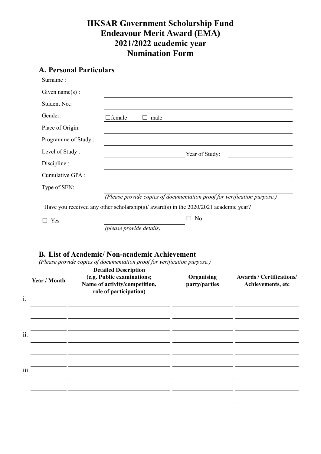## **HKSAR Government Scholarship Fund Endeavour Merit Award (EMA) 2021/2022 academic year Nomination Form**

# **A. Personal Particulars**

| Surname:            |                                                                                                                                                                                                  |                             |                                                      |  |
|---------------------|--------------------------------------------------------------------------------------------------------------------------------------------------------------------------------------------------|-----------------------------|------------------------------------------------------|--|
| Given $name(s)$ :   |                                                                                                                                                                                                  |                             |                                                      |  |
| Student No.:        |                                                                                                                                                                                                  |                             |                                                      |  |
| Gender:             | ∃female<br>male<br>$\Box$                                                                                                                                                                        |                             |                                                      |  |
| Place of Origin:    |                                                                                                                                                                                                  |                             |                                                      |  |
| Programme of Study: |                                                                                                                                                                                                  |                             |                                                      |  |
| Level of Study:     |                                                                                                                                                                                                  | Year of Study:              |                                                      |  |
| Discipline :        |                                                                                                                                                                                                  |                             |                                                      |  |
| Cumulative GPA:     |                                                                                                                                                                                                  |                             |                                                      |  |
| Type of SEN:        |                                                                                                                                                                                                  |                             |                                                      |  |
|                     | (Please provide copies of documentation proof for verification purpose.)                                                                                                                         |                             |                                                      |  |
|                     | Have you received any other scholarship(s)/ award(s) in the 2020/2021 academic year?                                                                                                             |                             |                                                      |  |
| $\Box$ Yes          |                                                                                                                                                                                                  | $\Box$ No                   |                                                      |  |
|                     | (please provide details)                                                                                                                                                                         |                             |                                                      |  |
| Year / Month        | (Please provide copies of documentation proof for verification purpose.)<br><b>Detailed Description</b><br>(e.g. Public examinations;<br>Name of activity/competition,<br>role of participation) | Organising<br>party/parties | <b>Awards / Certifications/</b><br>Achievements, etc |  |
|                     |                                                                                                                                                                                                  |                             |                                                      |  |
|                     |                                                                                                                                                                                                  |                             |                                                      |  |
| ii.                 |                                                                                                                                                                                                  |                             |                                                      |  |
|                     |                                                                                                                                                                                                  |                             |                                                      |  |
|                     |                                                                                                                                                                                                  |                             |                                                      |  |
|                     |                                                                                                                                                                                                  |                             |                                                      |  |
|                     |                                                                                                                                                                                                  |                             |                                                      |  |
| 111.                |                                                                                                                                                                                                  |                             |                                                      |  |